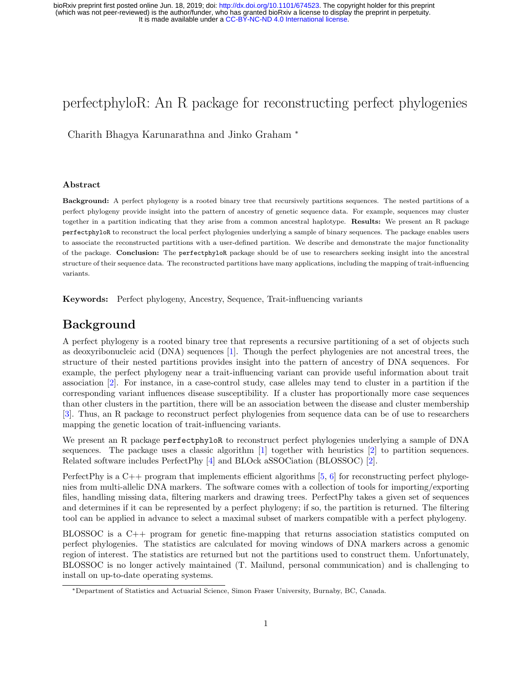# perfectphyloR: An R package for reconstructing perfect phylogenies

Charith Bhagya Karunarathna and Jinko Graham <sup>∗</sup>

#### Abstract

Background: A perfect phylogeny is a rooted binary tree that recursively partitions sequences. The nested partitions of a perfect phylogeny provide insight into the pattern of ancestry of genetic sequence data. For example, sequences may cluster together in a partition indicating that they arise from a common ancestral haplotype. Results: We present an R package perfectphyloR to reconstruct the local perfect phylogenies underlying a sample of binary sequences. The package enables users to associate the reconstructed partitions with a user-defined partition. We describe and demonstrate the major functionality of the package. Conclusion: The perfectphyloR package should be of use to researchers seeking insight into the ancestral structure of their sequence data. The reconstructed partitions have many applications, including the mapping of trait-influencing variants.

Keywords: Perfect phylogeny, Ancestry, Sequence, Trait-influencing variants

## Background

A perfect phylogeny is a rooted binary tree that represents a recursive partitioning of a set of objects such as deoxyribonucleic acid (DNA) sequences [\[1\]](#page-13-0). Though the perfect phylogenies are not ancestral trees, the structure of their nested partitions provides insight into the pattern of ancestry of DNA sequences. For example, the perfect phylogeny near a trait-influencing variant can provide useful information about trait association [\[2\]](#page-13-1). For instance, in a case-control study, case alleles may tend to cluster in a partition if the corresponding variant influences disease susceptibility. If a cluster has proportionally more case sequences than other clusters in the partition, there will be an association between the disease and cluster membership [\[3\]](#page-13-2). Thus, an R package to reconstruct perfect phylogenies from sequence data can be of use to researchers mapping the genetic location of trait-influencing variants.

We present an R package perfectphyloR to reconstruct perfect phylogenies underlying a sample of DNA sequences. The package uses a classic algorithm [\[1\]](#page-13-0) together with heuristics [\[2\]](#page-13-1) to partition sequences. Related software includes PerfectPhy [\[4\]](#page-13-3) and BLOck aSSOCiation (BLOSSOC) [\[2\]](#page-13-1).

PerfectPhy is a  $C_{++}$  program that implements efficient algorithms [\[5,](#page-13-4) [6\]](#page-13-5) for reconstructing perfect phylogenies from multi-allelic DNA markers. The software comes with a collection of tools for importing/exporting files, handling missing data, filtering markers and drawing trees. PerfectPhy takes a given set of sequences and determines if it can be represented by a perfect phylogeny; if so, the partition is returned. The filtering tool can be applied in advance to select a maximal subset of markers compatible with a perfect phylogeny.

BLOSSOC is a C++ program for genetic fine-mapping that returns association statistics computed on perfect phylogenies. The statistics are calculated for moving windows of DNA markers across a genomic region of interest. The statistics are returned but not the partitions used to construct them. Unfortunately, BLOSSOC is no longer actively maintained (T. Mailund, personal communication) and is challenging to install on up-to-date operating systems.

<sup>∗</sup>Department of Statistics and Actuarial Science, Simon Fraser University, Burnaby, BC, Canada.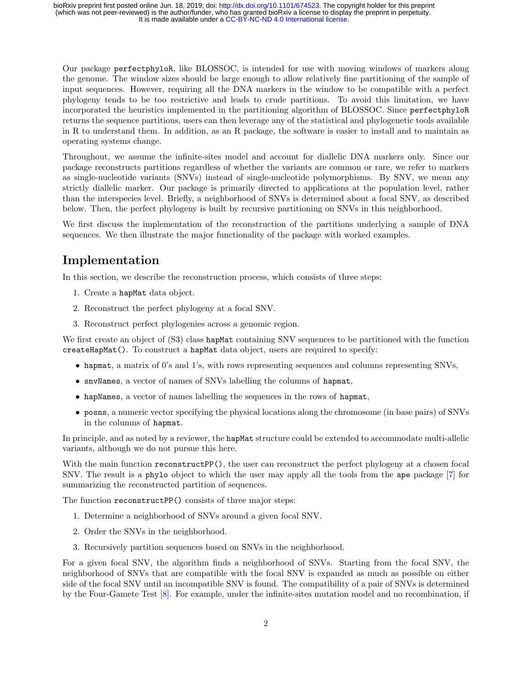It is made available under a [CC-BY-NC-ND 4.0 International license.](http://creativecommons.org/licenses/by-nc-nd/4.0/) (which was not peer-reviewed) is the author/funder, who has granted bioRxiv a license to display the preprint in perpetuity. bioRxiv preprint first posted online Jun. 18, 2019; doi: [http://dx.doi.org/10.1101/674523.](http://dx.doi.org/10.1101/674523) The copyright holder for this preprint

Our package perfectphyloR, like BLOSSOC, is intended for use with moving windows of markers along the genome. The window sizes should be large enough to allow relatively fine partitioning of the sample of input sequences. However, requiring all the DNA markers in the window to be compatible with a perfect phylogeny tends to be too restrictive and leads to crude partitions. To avoid this limitation, we have incorporated the heuristics implemented in the partitioning algorithm of BLOSSOC. Since perfectphyloR returns the sequence partitions, users can then leverage any of the statistical and phylogenetic tools available in R to understand them. In addition, as an R package, the software is easier to install and to maintain as operating systems change.

Throughout, we assume the infinite-sites model and account for diallelic DNA markers only. Since our package reconstructs partitions regardless of whether the variants are common or rare, we refer to markers as single-nucleotide variants (SNVs) instead of single-nucleotide polymorphisms. By SNV, we mean any strictly diallelic marker. Our package is primarily directed to applications at the population level, rather than the interspecies level. Briefly, a neighborhood of SNVs is determined about a focal SNV, as described below. Then, the perfect phylogeny is built by recursive partitioning on SNVs in this neighborhood.

We first discuss the implementation of the reconstruction of the partitions underlying a sample of DNA sequences. We then illustrate the major functionality of the package with worked examples.

## Implementation

In this section, we describe the reconstruction process, which consists of three steps:

- 1. Create a hapMat data object.
- 2. Reconstruct the perfect phylogeny at a focal SNV.
- 3. Reconstruct perfect phylogenies across a genomic region.

We first create an object of  $(S3)$  class hapMat containing SNV sequences to be partitioned with the function createHapMat(). To construct a hapMat data object, users are required to specify:

- hapmat, a matrix of 0's and 1's, with rows representing sequences and columns representing SNVs,
- snvNames, a vector of names of SNVs labelling the columns of hapmat,
- hapNames, a vector of names labelling the sequences in the rows of hapmat,
- posns, a numeric vector specifying the physical locations along the chromosome (in base pairs) of SNVs in the columns of hapmat.

In principle, and as noted by a reviewer, the hapMat structure could be extended to accommodate multi-allelic variants, although we do not pursue this here.

With the main function reconstructPP(), the user can reconstruct the perfect phylogeny at a chosen focal SNV. The result is a phylo object to which the user may apply all the tools from the ape package [\[7\]](#page-13-6) for summarizing the reconstructed partition of sequences.

The function reconstructPP() consists of three major steps:

- 1. Determine a neighborhood of SNVs around a given focal SNV.
- 2. Order the SNVs in the neighborhood.
- 3. Recursively partition sequences based on SNVs in the neighborhood.

For a given focal SNV, the algorithm finds a neighborhood of SNVs. Starting from the focal SNV, the neighborhood of SNVs that are compatible with the focal SNV is expanded as much as possible on either side of the focal SNV until an incompatible SNV is found. The compatibility of a pair of SNVs is determined by the Four-Gamete Test [\[8\]](#page-13-7). For example, under the infinite-sites mutation model and no recombination, if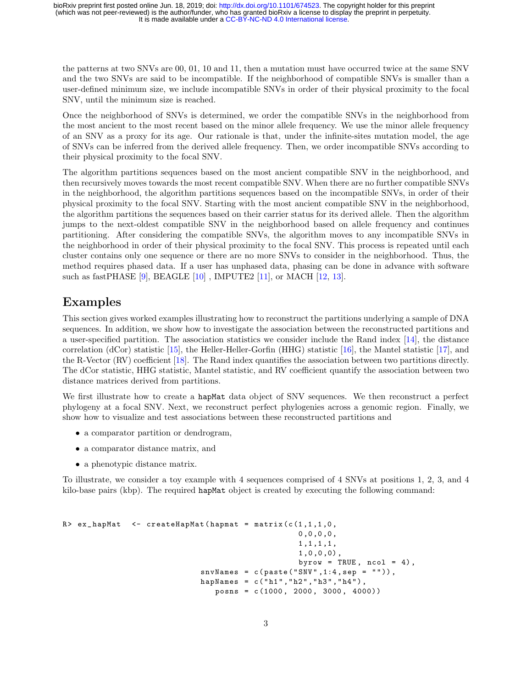the patterns at two SNVs are 00, 01, 10 and 11, then a mutation must have occurred twice at the same SNV and the two SNVs are said to be incompatible. If the neighborhood of compatible SNVs is smaller than a user-defined minimum size, we include incompatible SNVs in order of their physical proximity to the focal SNV, until the minimum size is reached.

Once the neighborhood of SNVs is determined, we order the compatible SNVs in the neighborhood from the most ancient to the most recent based on the minor allele frequency. We use the minor allele frequency of an SNV as a proxy for its age. Our rationale is that, under the infinite-sites mutation model, the age of SNVs can be inferred from the derived allele frequency. Then, we order incompatible SNVs according to their physical proximity to the focal SNV.

The algorithm partitions sequences based on the most ancient compatible SNV in the neighborhood, and then recursively moves towards the most recent compatible SNV. When there are no further compatible SNVs in the neighborhood, the algorithm partitions sequences based on the incompatible SNVs, in order of their physical proximity to the focal SNV. Starting with the most ancient compatible SNV in the neighborhood, the algorithm partitions the sequences based on their carrier status for its derived allele. Then the algorithm jumps to the next-oldest compatible SNV in the neighborhood based on allele frequency and continues partitioning. After considering the compatible SNVs, the algorithm moves to any incompatible SNVs in the neighborhood in order of their physical proximity to the focal SNV. This process is repeated until each cluster contains only one sequence or there are no more SNVs to consider in the neighborhood. Thus, the method requires phased data. If a user has unphased data, phasing can be done in advance with software such as fastPHASE  $[9]$ , BEAGLE  $[10]$ , IMPUTE2  $[11]$ , or MACH  $[12, 13]$  $[12, 13]$  $[12, 13]$ .

### Examples

This section gives worked examples illustrating how to reconstruct the partitions underlying a sample of DNA sequences. In addition, we show how to investigate the association between the reconstructed partitions and a user-specified partition. The association statistics we consider include the Rand index [\[14\]](#page-13-13), the distance correlation (dCor) statistic [\[15\]](#page-13-14), the Heller-Heller-Gorfin (HHG) statistic [\[16\]](#page-13-15), the Mantel statistic [\[17\]](#page-13-16), and the R-Vector (RV) coefficient [\[18\]](#page-13-17). The Rand index quantifies the association between two partitions directly. The dCor statistic, HHG statistic, Mantel statistic, and RV coefficient quantify the association between two distance matrices derived from partitions.

We first illustrate how to create a hapMat data object of SNV sequences. We then reconstruct a perfect phylogeny at a focal SNV. Next, we reconstruct perfect phylogenies across a genomic region. Finally, we show how to visualize and test associations between these reconstructed partitions and

- a comparator partition or dendrogram,
- a comparator distance matrix, and
- a phenotypic distance matrix.

To illustrate, we consider a toy example with 4 sequences comprised of 4 SNVs at positions 1, 2, 3, and 4 kilo-base pairs (kbp). The required hapMat object is created by executing the following command:

```
R> ex\_hapMat <- createHapMat (hapmat = matrix (c(1,1,1,0,0, 0, 0, 0,1 ,1 ,1 ,1 ,
                                                     1, 0, 0, 0),
                                                     byrow = TRUE, ncol = 4),
                               snvNames = c(paste("SW'',1:4,sep = "")),
                               hapNames = c("h1", "h2", "h3", "h4"),
                                  posns = c (1000 , 2000 , 3000 , 4000))
```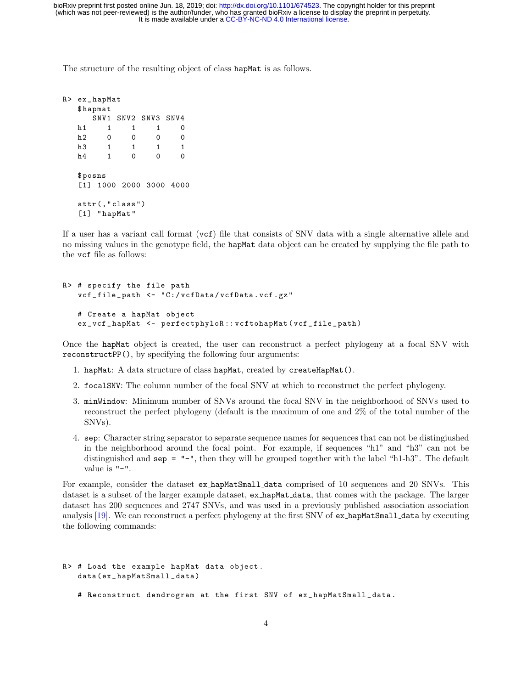The structure of the resulting object of class hapMat is as follows.

```
R> ex_hapMat
  $ hapmat
     SNV1 SNV2 SNV3 SNV4
  h1 1 1 1 0
  h2 0 0 0 0
  h3 1 1 1 1
  h4 1 0 0 0
  $ posns
  [1] 1000 2000 3000 4000
  attr ( ," class " )
  [1] " hapMat "
```
If a user has a variant call format (vcf) file that consists of SNV data with a single alternative allele and no missing values in the genotype field, the hapMat data object can be created by supplying the file path to the vcf file as follows:

```
R> # specify the file path
   vcf_file_path <- "C:/vcfData/vcfData.vcf.gz"
   # Create a hapMat object
   ex _ vcf _ hapMat <- perfectphyloR :: vcftohapMat ( vcf _ file _ path )
```
Once the hapMat object is created, the user can reconstruct a perfect phylogeny at a focal SNV with reconstructPP(), by specifying the following four arguments:

- 1. hapMat: A data structure of class hapMat, created by createHapMat().
- 2. focalSNV: The column number of the focal SNV at which to reconstruct the perfect phylogeny.
- 3. minWindow: Minimum number of SNVs around the focal SNV in the neighborhood of SNVs used to reconstruct the perfect phylogeny (default is the maximum of one and 2% of the total number of the SNVs).
- 4. sep: Character string separator to separate sequence names for sequences that can not be distingiushed in the neighborhood around the focal point. For example, if sequences "h1" and "h3" can not be distinguished and sep = "-", then they will be grouped together with the label "h1-h3". The default value is "-".

For example, consider the dataset ex\_hapMatSmall\_data comprised of 10 sequences and 20 SNVs. This dataset is a subset of the larger example dataset, ex hapMat\_data, that comes with the package. The larger dataset has 200 sequences and 2747 SNVs, and was used in a previously published association association analysis [\[19\]](#page-13-18). We can reconstruct a perfect phylogeny at the first SNV of ex\_hapMatSmall\_data by executing the following commands:

```
R> # Load the example hapMat data object.
   data ( ex _ hapMatSmall _ data )
   # Reconstruct dendrogram at the first SNV of ex_hapMatSmall_data.
```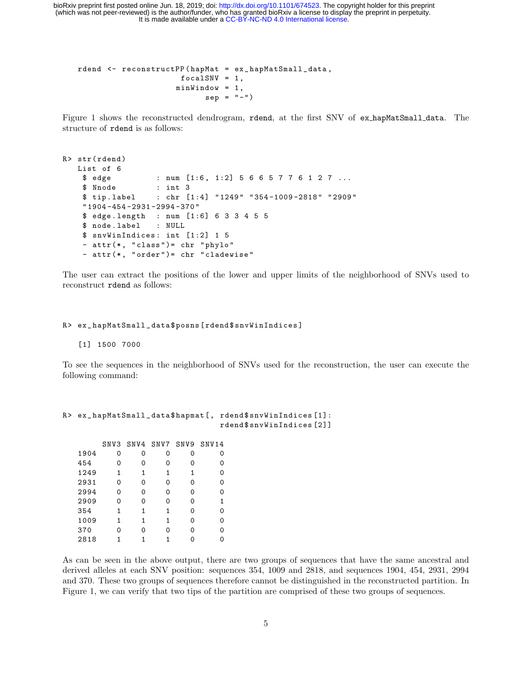```
rdend <- reconstructPP (hapMat = ex_hapMatSmall_data,
                     focalSW = 1,
                    minWindow = 1,sep = " -")
```
Figure 1 shows the reconstructed dendrogram, rdend, at the first SNV of ex hapMatSmall data. The structure of rdend is as follows:

```
R> str(rdend)
   List of 6
    $ edge : num [1:6 , 1:2] 5 6 6 5 7 7 6 1 2 7 ...
    $ Nnode : int 3
    $ tip . label : chr [1:4] " 1249 " " 354 -1009 -2818 " " 2909 "
    " 1904 -454 -2931 -2994 -370 "
    $ edge . length : num [1:6] 6 3 3 4 5 5
    $ node . label : NULL
    $ snvWinIndices : int [1:2] 1 5
    - attr(*, "class")= chr "phylo"
    - attr (*, "order") = chr "cladewise"
```
The user can extract the positions of the lower and upper limits of the neighborhood of SNVs used to reconstruct rdend as follows:

#### R> ex\_hapMatSmall\_data\$posns [rdend\$snvWinIndices]

[1] 1500 7000

To see the sequences in the neighborhood of SNVs used for the reconstruction, the user can execute the following command:

```
R> ex_hapMatSmall_data$hapmat [, rdend$snvWinIndices [1]:
                    rdend $ snvWinIndices [2]]
     SNV3 SNV4 SNV7 SNV9 SNV14
 1904 0 0 0 0 0
  454 0 0 0 0 0
  1249 1 1 1 1 0
 2931 0 0 0 0 0
 2994 0 0 0 0 0
  2909 0 0 0 0 1
  354 1 1 1 0 0
  1009 1 1 1 0 0
  370 0 0 0 0 0
  2818 1 1 1 0 0
```
As can be seen in the above output, there are two groups of sequences that have the same ancestral and derived alleles at each SNV position: sequences 354, 1009 and 2818, and sequences 1904, 454, 2931, 2994 and 370. These two groups of sequences therefore cannot be distinguished in the reconstructed partition. In Figure 1, we can verify that two tips of the partition are comprised of these two groups of sequences.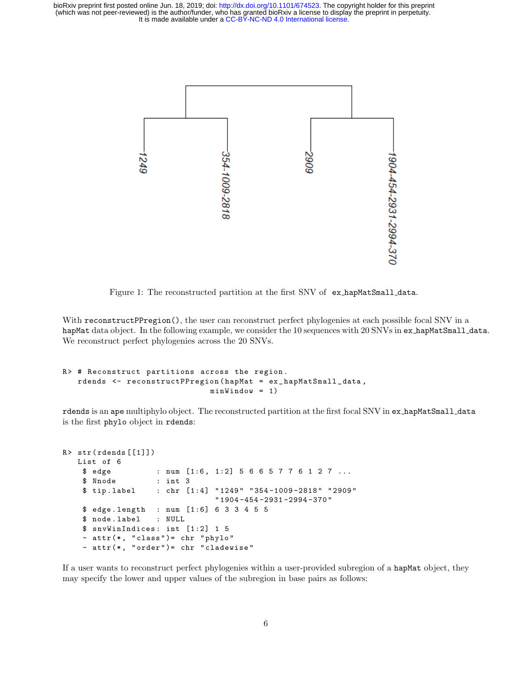

Figure 1: The reconstructed partition at the first SNV of ex\_hapMatSmall\_data.

With reconstructPPregion(), the user can reconstruct perfect phylogenies at each possible focal SNV in a hapMat data object. In the following example, we consider the 10 sequences with 20 SNVs in ex hapMatSmall data. We reconstruct perfect phylogenies across the 20 SNVs.

```
R> # Reconstruct partitions across the region.
   rdends <- reconstructPPregion (hapMat = ex_hapMatSmall_data,
                              minWindow = 1)
```
rdends is an ape multiphylo object. The reconstructed partition at the first focal SNV in ex hapMatSmall data is the first phylo object in rdends:

```
R > str(rdends[[1]])List of 6
    $ edge : num [1:6, 1:2] 5 6 6 5 7 7 6 1 2 7 ...
    $ Nnode : int 3
    $ tip . label : chr [1:4] " 1249 " " 354 -1009 -2818 " " 2909 "
                                " 1904 -454 -2931 -2994 -370 "
    $ edge . length : num [1:6] 6 3 3 4 5 5
    $ node . label : NULL
    $ snvWinIndices : int [1:2] 1 5
    - attr(*, "class")= chr "phylo"
    - attr (*, "order") = chr "cladewise"
```
If a user wants to reconstruct perfect phylogenies within a user-provided subregion of a hapMat object, they may specify the lower and upper values of the subregion in base pairs as follows: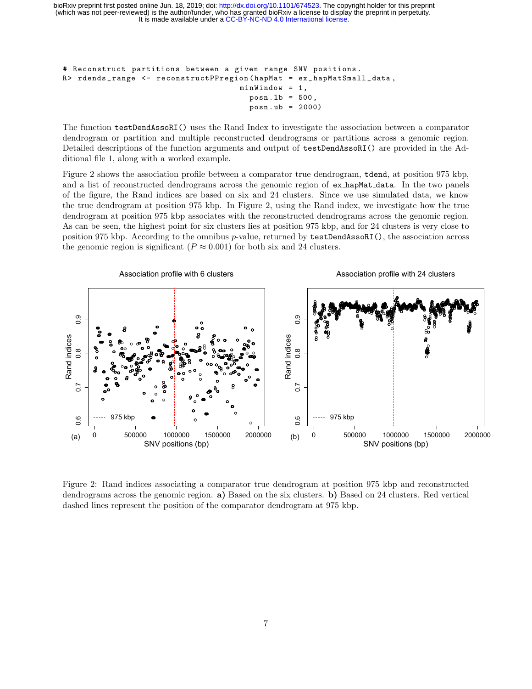```
# Reconstruct partitions between a given range SNV positions .
R> rdends_range <- reconstructPPregion (hapMat = ex_hapMatSmall_data,
                                     minWindow = 1,posn.1b = 500,posn . ub = 2000)
```
The function testDendAssoRI() uses the Rand Index to investigate the association between a comparator dendrogram or partition and multiple reconstructed dendrograms or partitions across a genomic region. Detailed descriptions of the function arguments and output of testDendAssoRI() are provided in the Additional file 1, along with a worked example.

Figure 2 shows the association profile between a comparator true dendrogram, tdend, at position 975 kbp, and a list of reconstructed dendrograms across the genomic region of ex hapMat data. In the two panels of the figure, the Rand indices are based on six and 24 clusters. Since we use simulated data, we know the true dendrogram at position 975 kbp. In Figure 2, using the Rand index, we investigate how the true dendrogram at position 975 kbp associates with the reconstructed dendrograms across the genomic region. As can be seen, the highest point for six clusters lies at position 975 kbp, and for 24 clusters is very close to position 975 kbp. According to the omnibus p-value, returned by testDendAssoRI(), the association across the genomic region is significant ( $P \approx 0.001$ ) for both six and 24 clusters.



Figure 2: Rand indices associating a comparator true dendrogram at position 975 kbp and reconstructed dendrograms across the genomic region. a) Based on the six clusters. b) Based on 24 clusters. Red vertical dashed lines represent the position of the comparator dendrogram at 975 kbp.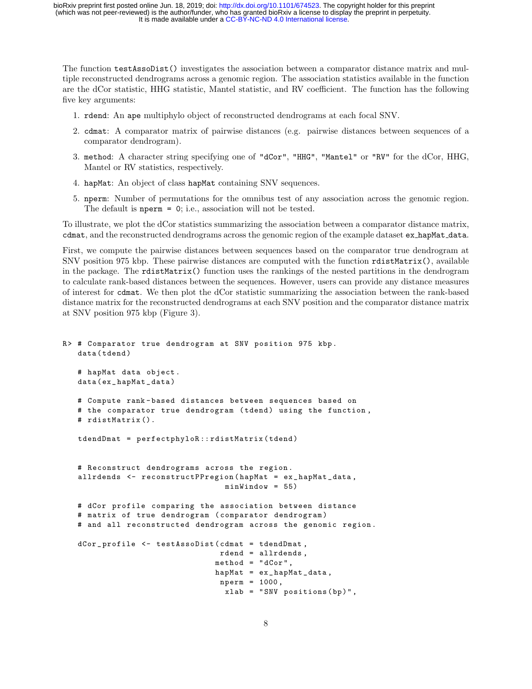The function testAssoDist() investigates the association between a comparator distance matrix and multiple reconstructed dendrograms across a genomic region. The association statistics available in the function are the dCor statistic, HHG statistic, Mantel statistic, and RV coefficient. The function has the following five key arguments:

- 1. rdend: An ape multiphylo object of reconstructed dendrograms at each focal SNV.
- 2. cdmat: A comparator matrix of pairwise distances (e.g. pairwise distances between sequences of a comparator dendrogram).
- 3. method: A character string specifying one of "dCor", "HHG", "Mantel" or "RV" for the dCor, HHG, Mantel or RV statistics, respectively.
- 4. hapMat: An object of class hapMat containing SNV sequences.
- 5. nperm: Number of permutations for the omnibus test of any association across the genomic region. The default is nperm = 0; i.e., association will not be tested.

To illustrate, we plot the dCor statistics summarizing the association between a comparator distance matrix, cdmat, and the reconstructed dendrograms across the genomic region of the example dataset ex hapMat data.

First, we compute the pairwise distances between sequences based on the comparator true dendrogram at SNV position 975 kbp. These pairwise distances are computed with the function rdistMatrix(), available in the package. The rdistMatrix() function uses the rankings of the nested partitions in the dendrogram to calculate rank-based distances between the sequences. However, users can provide any distance measures of interest for cdmat. We then plot the dCor statistic summarizing the association between the rank-based distance matrix for the reconstructed dendrograms at each SNV position and the comparator distance matrix at SNV position 975 kbp (Figure 3).

```
R> # Comparator true dendrogram at SNV position 975 kbp.
   data ( tdend )
   # hapMat data object .
   data ( ex _ hapMat _ data )
   # Compute rank - based distances between sequences based on
   # the comparator true dendrogram (tdend) using the function,
   # rdistMatrix ().
   tdendDmat = perfectphyloR :: rdistMatrix ( tdend )
   # Reconstruct dendrograms across the region .
   allrdends <- reconstructPPregion (hapMat = ex_hapMat_data,
                                   minWindow = 55)
   # dCor profile comparing the association between distance
   # matrix of true dendrogram ( comparator dendrogram )
   # and all reconstructed dendrogram across the genomic region .
   dCor _ profile <- testAssoDist ( cdmat = tdendDmat ,
                                 rdend = allrdends ,
                                 method = "dCor",hapMat = ex_hapMat_data,
                                  nperm = 1000 ,
                                   xlab = "SNV positions (bp)",
```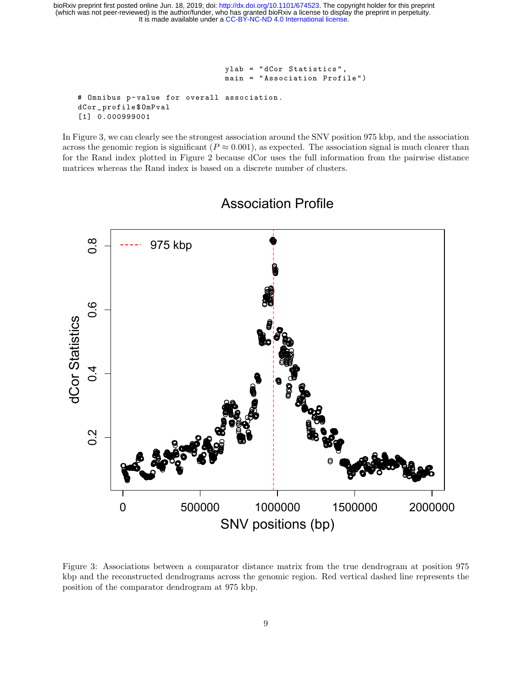```
ylab = " dCor Statistics " ,
                                 main = " Association Profile ")
# Omnibus p-value for overall association.
dCor _ profile $ OmPval
[1] 0.000999001
```
In Figure 3, we can clearly see the strongest association around the SNV position 975 kbp, and the association across the genomic region is significant ( $P \approx 0.001$ ), as expected. The association signal is much clearer than for the Rand index plotted in Figure 2 because dCor uses the full information from the pairwise distance matrices whereas the Rand index is based on a discrete number of clusters.



## Association Profile

Figure 3: Associations between a comparator distance matrix from the true dendrogram at position 975 kbp and the reconstructed dendrograms across the genomic region. Red vertical dashed line represents the position of the comparator dendrogram at 975 kbp.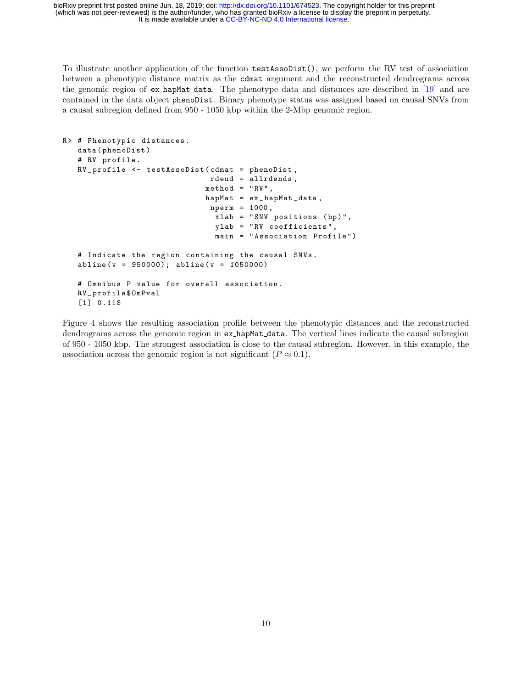To illustrate another application of the function testAssoDist(), we perform the RV test of association between a phenotypic distance matrix as the cdmat argument and the reconstructed dendrograms across the genomic region of ex hapMat data. The phenotype data and distances are described in [\[19\]](#page-13-18) and are contained in the data object phenoDist. Binary phenotype status was assigned based on causal SNVs from a causal subregion defined from 950 - 1050 kbp within the 2-Mbp genomic region.

```
R> # Phenotypic distances.
   data ( phenoDist )
   # RV profile .
   RV _ profile <- testAssoDist ( cdmat = phenoDist ,
                                rdend = allrdends ,
                               method = "RV",hapMat = ex_hapMat_data,
                                nperm = 1000,
                                 xlab = "SNV positions (bp)",
                                 ylab = " RV coefficients " ,
                                 main = " Association Profile " )
   # Indicate the region containing the causal SNVs .
   abline (v = 950000); abline (v = 1050000)# Omnibus P value for overall association .
   RV _ profile $ OmPval
   [1] 0.118
```
Figure 4 shows the resulting association profile between the phenotypic distances and the reconstructed dendrograms across the genomic region in ex hapMat data. The vertical lines indicate the causal subregion of 950 - 1050 kbp. The strongest association is close to the causal subregion. However, in this example, the association across the genomic region is not significant ( $P \approx 0.1$ ).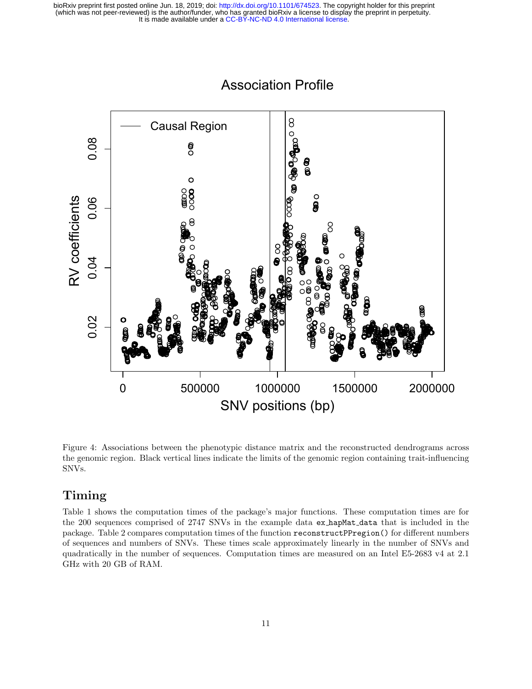

# Association Profile

Figure 4: Associations between the phenotypic distance matrix and the reconstructed dendrograms across the genomic region. Black vertical lines indicate the limits of the genomic region containing trait-influencing SNVs.

## Timing

Table 1 shows the computation times of the package's major functions. These computation times are for the 200 sequences comprised of 2747 SNVs in the example data ex hapMat data that is included in the package. Table 2 compares computation times of the function reconstructPPregion() for different numbers of sequences and numbers of SNVs. These times scale approximately linearly in the number of SNVs and quadratically in the number of sequences. Computation times are measured on an Intel E5-2683 v4 at 2.1 GHz with 20 GB of RAM.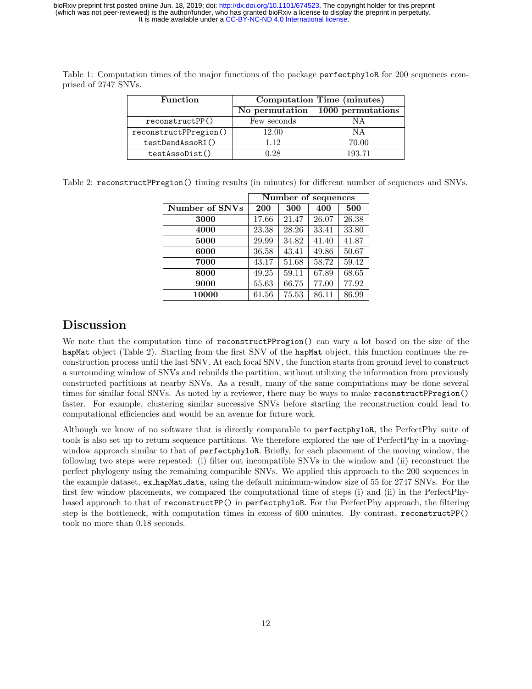| <b>Function</b>       | Computation Time (minutes) |                   |  |  |
|-----------------------|----------------------------|-------------------|--|--|
|                       | No permutation             | 1000 permutations |  |  |
| reconstructPP()       | Few seconds                | NΑ                |  |  |
| reconstructPPregion() | 12.00                      | ΝA                |  |  |
| testDendAssoRI()      | 1 1 2                      | 70.00             |  |  |
| testAssoDist()        | O 28                       | 19371             |  |  |

Table 1: Computation times of the major functions of the package perfectphyloR for 200 sequences comprised of 2747 SNVs.

Table 2: reconstructPPregion() timing results (in minutes) for different number of sequences and SNVs.

|                | Number of sequences |       |       |       |
|----------------|---------------------|-------|-------|-------|
| Number of SNVs | 200                 | 300   | 400   | 500   |
| 3000           | 17.66               | 21.47 | 26.07 | 26.38 |
| 4000           | 23.38               | 28.26 | 33.41 | 33.80 |
| 5000           | 29.99               | 34.82 | 41.40 | 41.87 |
| 6000           | 36.58               | 43.41 | 49.86 | 50.67 |
| 7000           | 43.17               | 51.68 | 58.72 | 59.42 |
| 8000           | 49.25               | 59.11 | 67.89 | 68.65 |
| 9000           | 55.63               | 66.75 | 77.00 | 77.92 |
| 10000          | 61.56               | 75.53 | 86.11 | 86.99 |

### Discussion

We note that the computation time of reconstructPPregion() can vary a lot based on the size of the hapMat object (Table 2). Starting from the first SNV of the hapMat object, this function continues the reconstruction process until the last SNV. At each focal SNV, the function starts from ground level to construct a surrounding window of SNVs and rebuilds the partition, without utilizing the information from previously constructed partitions at nearby SNVs. As a result, many of the same computations may be done several times for similar focal SNVs. As noted by a reviewer, there may be ways to make reconstructPPregion() faster. For example, clustering similar successive SNVs before starting the reconstruction could lead to computational efficiencies and would be an avenue for future work.

Although we know of no software that is directly comparable to perfectphyloR, the PerfectPhy suite of tools is also set up to return sequence partitions. We therefore explored the use of PerfectPhy in a movingwindow approach similar to that of **perfectphyloR**. Briefly, for each placement of the moving window, the following two steps were repeated: (i) filter out incompatible SNVs in the window and (ii) reconstruct the perfect phylogeny using the remaining compatible SNVs. We applied this approach to the 200 sequences in the example dataset, ex hapMat data, using the default minimum-window size of 55 for 2747 SNVs. For the first few window placements, we compared the computational time of steps (i) and (ii) in the PerfectPhybased approach to that of reconstructPP() in perfectphyloR. For the PerfectPhy approach, the filtering step is the bottleneck, with computation times in excess of 600 minutes. By contrast, reconstructPP() took no more than 0.18 seconds.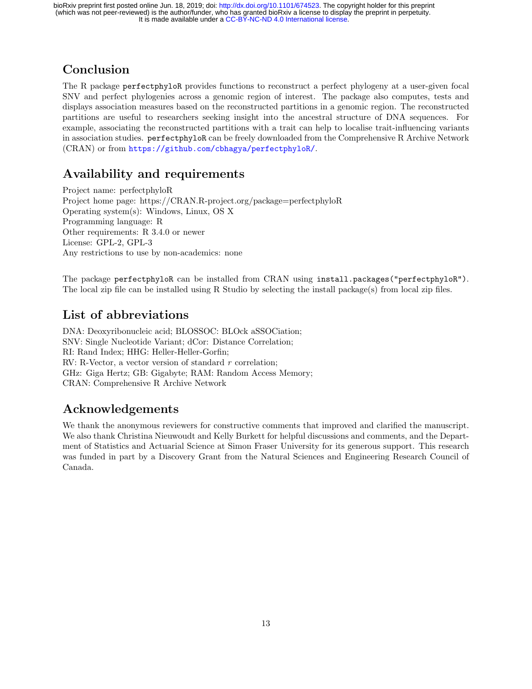## Conclusion

The R package perfectphyloR provides functions to reconstruct a perfect phylogeny at a user-given focal SNV and perfect phylogenies across a genomic region of interest. The package also computes, tests and displays association measures based on the reconstructed partitions in a genomic region. The reconstructed partitions are useful to researchers seeking insight into the ancestral structure of DNA sequences. For example, associating the reconstructed partitions with a trait can help to localise trait-influencing variants in association studies. perfectphyloR can be freely downloaded from the Comprehensive R Archive Network (CRAN) or from <https://github.com/cbhagya/perfectphyloR/>.

# Availability and requirements

Project name: perfectphyloR Project home page: https://CRAN.R-project.org/package=perfectphyloR Operating system(s): Windows, Linux, OS X Programming language: R Other requirements: R 3.4.0 or newer License: GPL-2, GPL-3 Any restrictions to use by non-academics: none

The package perfectphyloR can be installed from CRAN using install.packages("perfectphyloR"). The local zip file can be installed using R Studio by selecting the install package(s) from local zip files.

# List of abbreviations

DNA: Deoxyribonucleic acid; BLOSSOC: BLOck aSSOCiation; SNV: Single Nucleotide Variant; dCor: Distance Correlation; RI: Rand Index; HHG: Heller-Heller-Gorfin; RV: R-Vector, a vector version of standard r correlation; GHz: Giga Hertz; GB: Gigabyte; RAM: Random Access Memory; CRAN: Comprehensive R Archive Network

# Acknowledgements

We thank the anonymous reviewers for constructive comments that improved and clarified the manuscript. We also thank Christina Nieuwoudt and Kelly Burkett for helpful discussions and comments, and the Department of Statistics and Actuarial Science at Simon Fraser University for its generous support. This research was funded in part by a Discovery Grant from the Natural Sciences and Engineering Research Council of Canada.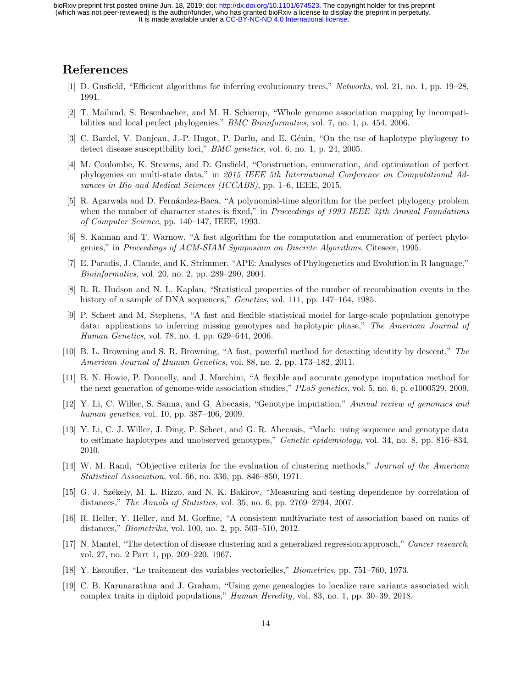### References

- <span id="page-13-0"></span>[1] D. Gusfield, "Efficient algorithms for inferring evolutionary trees," Networks, vol. 21, no. 1, pp. 19–28, 1991.
- <span id="page-13-1"></span>[2] T. Mailund, S. Besenbacher, and M. H. Schierup, "Whole genome association mapping by incompatibilities and local perfect phylogenies," BMC Bioinformatics, vol. 7, no. 1, p. 454, 2006.
- <span id="page-13-2"></span>[3] C. Bardel, V. Danjean, J.-P. Hugot, P. Darlu, and E. Génin, "On the use of haplotype phylogeny to detect disease susceptibility loci," BMC genetics, vol. 6, no. 1, p. 24, 2005.
- <span id="page-13-3"></span>[4] M. Coulombe, K. Stevens, and D. Gusfield, "Construction, enumeration, and optimization of perfect phylogenies on multi-state data," in 2015 IEEE 5th International Conference on Computational Advances in Bio and Medical Sciences (ICCABS), pp. 1–6, IEEE, 2015.
- <span id="page-13-4"></span>[5] R. Agarwala and D. Fernández-Baca, "A polynomial-time algorithm for the perfect phylogeny problem when the number of character states is fixed," in Proceedings of 1993 IEEE 34th Annual Foundations of Computer Science, pp. 140–147, IEEE, 1993.
- <span id="page-13-5"></span>[6] S. Kannan and T. Warnow, "A fast algorithm for the computation and enumeration of perfect phylogenies," in Proceedings of ACM-SIAM Symposium on Discrete Algorithms, Citeseer, 1995.
- <span id="page-13-6"></span>[7] E. Paradis, J. Claude, and K. Strimmer, "APE: Analyses of Phylogenetics and Evolution in R language," Bioinformatics, vol. 20, no. 2, pp. 289–290, 2004.
- <span id="page-13-7"></span>[8] R. R. Hudson and N. L. Kaplan, "Statistical properties of the number of recombination events in the history of a sample of DNA sequences," *Genetics*, vol. 111, pp. 147–164, 1985.
- <span id="page-13-8"></span>[9] P. Scheet and M. Stephens, "A fast and flexible statistical model for large-scale population genotype data: applications to inferring missing genotypes and haplotypic phase," The American Journal of Human Genetics, vol. 78, no. 4, pp. 629–644, 2006.
- <span id="page-13-9"></span>[10] B. L. Browning and S. R. Browning, "A fast, powerful method for detecting identity by descent," The American Journal of Human Genetics, vol. 88, no. 2, pp. 173–182, 2011.
- <span id="page-13-10"></span>[11] B. N. Howie, P. Donnelly, and J. Marchini, "A flexible and accurate genotype imputation method for the next generation of genome-wide association studies," PLoS genetics, vol. 5, no. 6, p. e1000529, 2009.
- <span id="page-13-11"></span>[12] Y. Li, C. Willer, S. Sanna, and G. Abecasis, "Genotype imputation," Annual review of genomics and human genetics, vol. 10, pp. 387–406, 2009.
- <span id="page-13-12"></span>[13] Y. Li, C. J. Willer, J. Ding, P. Scheet, and G. R. Abecasis, "Mach: using sequence and genotype data to estimate haplotypes and unobserved genotypes," Genetic epidemiology, vol. 34, no. 8, pp. 816–834, 2010.
- <span id="page-13-13"></span>[14] W. M. Rand, "Objective criteria for the evaluation of clustering methods," Journal of the American Statistical Association, vol. 66, no. 336, pp. 846–850, 1971.
- <span id="page-13-14"></span>[15] G. J. Székely, M. L. Rizzo, and N. K. Bakirov, "Measuring and testing dependence by correlation of distances," The Annals of Statistics, vol. 35, no. 6, pp. 2769–2794, 2007.
- <span id="page-13-15"></span>[16] R. Heller, Y. Heller, and M. Gorfine, "A consistent multivariate test of association based on ranks of distances," Biometrika, vol. 100, no. 2, pp. 503–510, 2012.
- <span id="page-13-16"></span>[17] N. Mantel, "The detection of disease clustering and a generalized regression approach," Cancer research, vol. 27, no. 2 Part 1, pp. 209–220, 1967.
- <span id="page-13-17"></span>[18] Y. Escoufier, "Le traitement des variables vectorielles," Biometrics, pp. 751–760, 1973.
- <span id="page-13-18"></span>[19] C. B. Karunarathna and J. Graham, "Using gene genealogies to localize rare variants associated with complex traits in diploid populations," Human Heredity, vol. 83, no. 1, pp. 30–39, 2018.